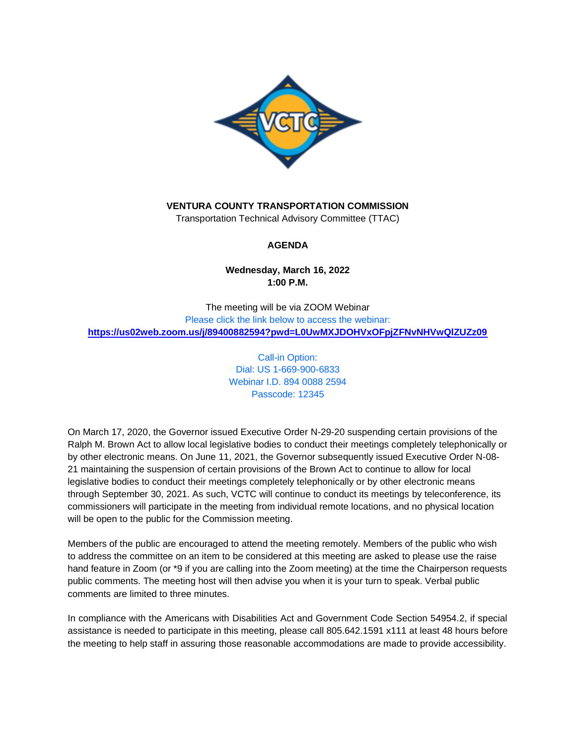

# **VENTURA COUNTY TRANSPORTATION COMMISSION**

Transportation Technical Advisory Committee (TTAC)

# **AGENDA**

# **Wednesday, March 16, 2022 1:00 P.M.**

The meeting will be via ZOOM Webinar Please click the link below to access the webinar: **<https://us02web.zoom.us/j/89400882594?pwd=L0UwMXJDOHVxOFpjZFNvNHVwQlZUZz09>**

> Call-in Option: Dial: US 1-669-900-6833 Webinar I.D. 894 0088 2594 Passcode: 12345

On March 17, 2020, the Governor issued Executive Order N-29-20 suspending certain provisions of the Ralph M. Brown Act to allow local legislative bodies to conduct their meetings completely telephonically or by other electronic means. On June 11, 2021, the Governor subsequently issued Executive Order N-08- 21 maintaining the suspension of certain provisions of the Brown Act to continue to allow for local legislative bodies to conduct their meetings completely telephonically or by other electronic means through September 30, 2021. As such, VCTC will continue to conduct its meetings by teleconference, its commissioners will participate in the meeting from individual remote locations, and no physical location will be open to the public for the Commission meeting.

Members of the public are encouraged to attend the meeting remotely. Members of the public who wish to address the committee on an item to be considered at this meeting are asked to please use the raise hand feature in Zoom (or \*9 if you are calling into the Zoom meeting) at the time the Chairperson requests public comments. The meeting host will then advise you when it is your turn to speak. Verbal public comments are limited to three minutes.

In compliance with the Americans with Disabilities Act and Government Code Section 54954.2, if special assistance is needed to participate in this meeting, please call 805.642.1591 x111 at least 48 hours before the meeting to help staff in assuring those reasonable accommodations are made to provide accessibility.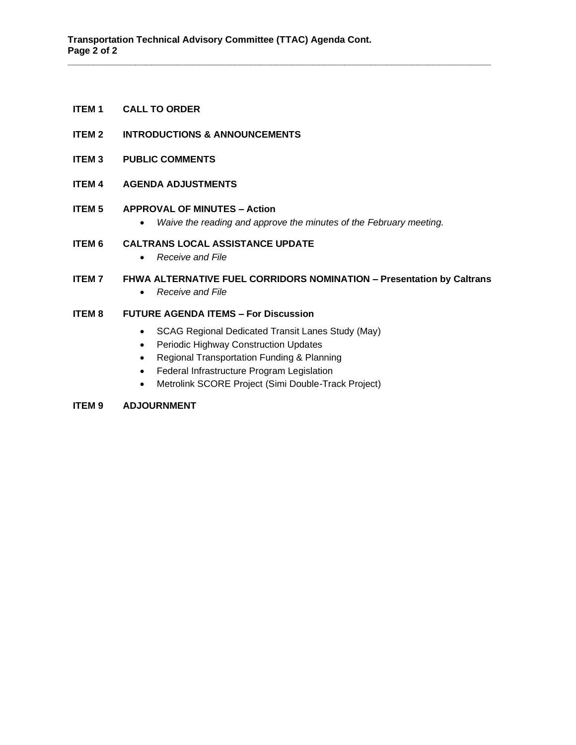# **ITEM 1 CALL TO ORDER**

- **ITEM 2 INTRODUCTIONS & ANNOUNCEMENTS**
- **ITEM 3 PUBLIC COMMENTS**
- **ITEM 4 AGENDA ADJUSTMENTS**

## **ITEM 5 APPROVAL OF MINUTES – Action**

• *Waive the reading and approve the minutes of the February meeting.*

**\_\_\_\_\_\_\_\_\_\_\_\_\_\_\_\_\_\_\_\_\_\_\_\_\_\_\_\_\_\_\_\_\_\_\_\_\_\_\_\_\_\_\_\_\_\_\_\_\_\_\_\_\_\_\_\_\_\_\_\_\_\_\_\_\_\_\_\_\_\_\_\_\_\_\_\_\_\_\_\_\_**

## **ITEM 6 CALTRANS LOCAL ASSISTANCE UPDATE**

• *Receive and File*

# **ITEM 7 FHWA ALTERNATIVE FUEL CORRIDORS NOMINATION – Presentation by Caltrans**

• *Receive and File*

# **ITEM 8 FUTURE AGENDA ITEMS – For Discussion**

- SCAG Regional Dedicated Transit Lanes Study (May)
- Periodic Highway Construction Updates
- Regional Transportation Funding & Planning
- Federal Infrastructure Program Legislation
- Metrolink SCORE Project (Simi Double-Track Project)

# **ITEM 9 ADJOURNMENT**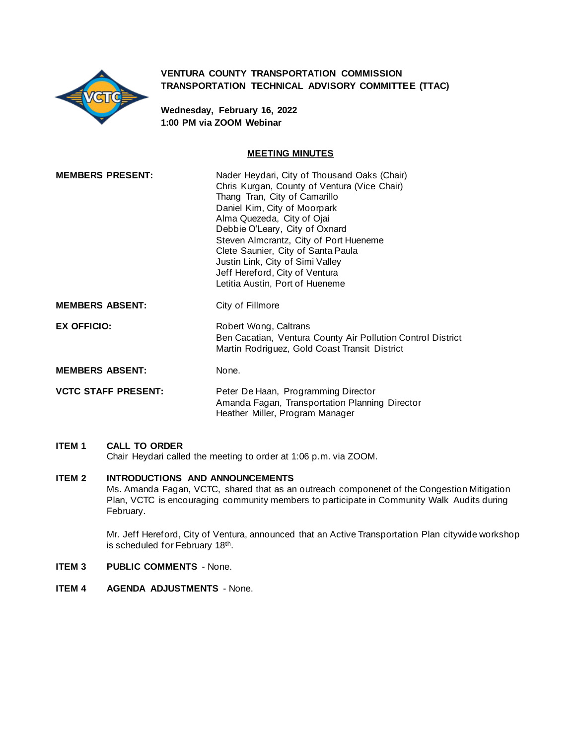

## **VENTURA COUNTY TRANSPORTATION COMMISSION TRANSPORTATION TECHNICAL ADVISORY COMMITTEE (TTAC)**

**Wednesday, February 16, 2022 1:00 PM via ZOOM Webinar**

## **MEETING MINUTES**

| <b>MEMBERS PRESENT:</b>    | Nader Heydari, City of Thousand Oaks (Chair)<br>Chris Kurgan, County of Ventura (Vice Chair)<br>Thang Tran, City of Camarillo<br>Daniel Kim, City of Moorpark<br>Alma Quezeda, City of Ojai<br>Debbie O'Leary, City of Oxnard<br>Steven Almcrantz, City of Port Hueneme<br>Clete Saunier, City of Santa Paula<br>Justin Link, City of Simi Valley<br>Jeff Hereford, City of Ventura<br>Letitia Austin, Port of Hueneme |
|----------------------------|------------------------------------------------------------------------------------------------------------------------------------------------------------------------------------------------------------------------------------------------------------------------------------------------------------------------------------------------------------------------------------------------------------------------|
| <b>MEMBERS ABSENT:</b>     | City of Fillmore                                                                                                                                                                                                                                                                                                                                                                                                       |
| <b>EX OFFICIO:</b>         | Robert Wong, Caltrans<br>Ben Cacatian, Ventura County Air Pollution Control District<br>Martin Rodriguez, Gold Coast Transit District                                                                                                                                                                                                                                                                                  |
| <b>MEMBERS ABSENT:</b>     | None.                                                                                                                                                                                                                                                                                                                                                                                                                  |
| <b>VCTC STAFF PRESENT:</b> | Peter De Haan, Programming Director<br>Amanda Fagan, Transportation Planning Director<br>Heather Miller, Program Manager                                                                                                                                                                                                                                                                                               |

# **ITEM 1 CALL TO ORDER**

Chair Heydari called the meeting to order at 1:06 p.m. via ZOOM.

# **ITEM 2 INTRODUCTIONS AND ANNOUNCEMENTS**

Ms. Amanda Fagan, VCTC, shared that as an outreach componenet of the Congestion Mitigation Plan, VCTC is encouraging community members to participate in Community Walk Audits during February.

Mr. Jeff Hereford, City of Ventura, announced that an Active Transportation Plan citywide workshop is scheduled for February 18<sup>th</sup>.

## **ITEM 3 PUBLIC COMMENTS** - None.

**ITEM 4 AGENDA ADJUSTMENTS** - None.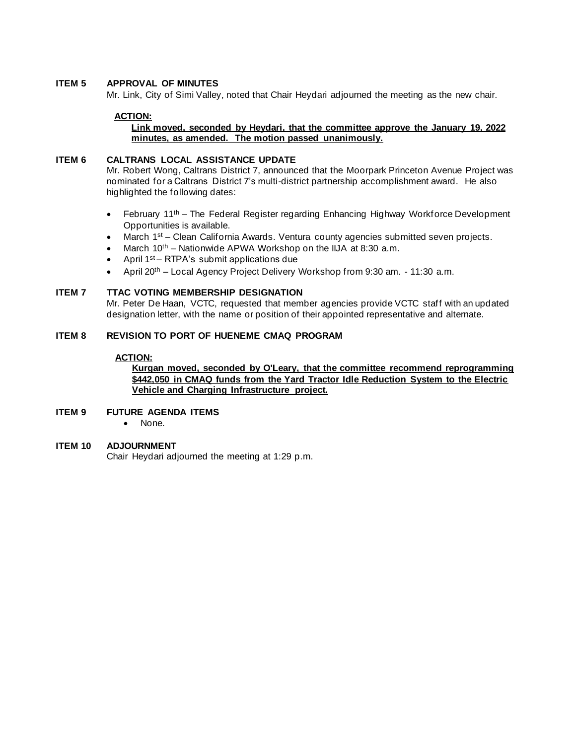## **ITEM 5 APPROVAL OF MINUTES**

Mr. Link, City of Simi Valley, noted that Chair Heydari adjourned the meeting as the new chair.

#### **ACTION:**

## **Link moved, seconded by Heydari, that the committee approve the January 19, 2022 minutes, as amended. The motion passed unanimously.**

#### **ITEM 6 CALTRANS LOCAL ASSISTANCE UPDATE**

Mr. Robert Wong, Caltrans District 7, announced that the Moorpark Princeton Avenue Project was nominated for a Caltrans District 7's multi-district partnership accomplishment award. He also highlighted the following dates:

- February 11<sup>th</sup> The Federal Register regarding Enhancing Highway Workforce Development Opportunities is available.
- March 1<sup>st</sup> Clean California Awards. Ventura county agencies submitted seven projects.
- March 10<sup>th</sup> Nationwide APWA Workshop on the IIJA at 8:30 a.m.
- April 1st RTPA's submit applications due
- April 20th Local Agency Project Delivery Workshop from 9:30 am. 11:30 a.m.

## **ITEM 7 TTAC VOTING MEMBERSHIP DESIGNATION**

Mr. Peter De Haan, VCTC, requested that member agencies provide VCTC staff with an updated designation letter, with the name or position of their appointed representative and alternate.

#### **ITEM 8 REVISION TO PORT OF HUENEME CMAQ PROGRAM**

#### **ACTION:**

## **Kurgan moved, seconded by O'Leary, that the committee recommend reprogramming \$442,050 in CMAQ funds from the Yard Tractor Idle Reduction System to the Electric Vehicle and Charging Infrastructure project.**

#### **ITEM 9 FUTURE AGENDA ITEMS**

• None.

### **ITEM 10 ADJOURNMENT**

Chair Heydari adjourned the meeting at 1:29 p.m.